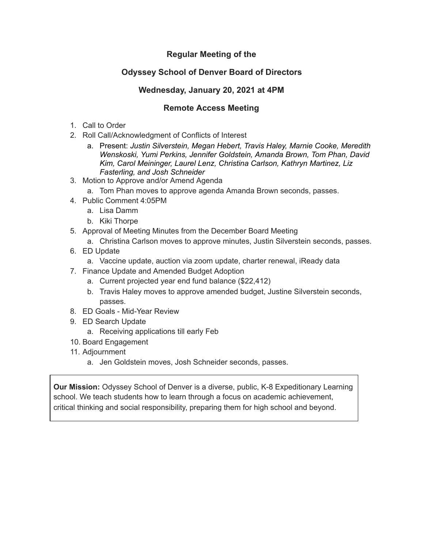## **Regular Meeting of the**

## **Odyssey School of Denver Board of Directors**

## **Wednesday, January 20, 2021 at 4PM**

## **Remote Access Meeting**

- 1. Call to Order
- 2. Roll Call/Acknowledgment of Conflicts of Interest
	- a. Present: *Justin Silverstein, Megan Hebert, Travis Haley, Marnie Cooke, Meredith Wenskoski, Yumi Perkins, Jennifer Goldstein, Amanda Brown, Tom Phan, David Kim, Carol Meininger, Laurel Lenz, Christina Carlson, Kathryn Martinez, Liz Fasterling, and Josh Schneider*
- 3. Motion to Approve and/or Amend Agenda
	- a. Tom Phan moves to approve agenda Amanda Brown seconds, passes.
- 4. Public Comment 4:05PM
	- a. Lisa Damm
	- b. Kiki Thorpe
- 5. Approval of Meeting Minutes from the December Board Meeting
	- a. Christina Carlson moves to approve minutes, Justin Silverstein seconds, passes.
- 6. ED Update
	- a. Vaccine update, auction via zoom update, charter renewal, iReady data
- 7. Finance Update and Amended Budget Adoption
	- a. Current projected year end fund balance (\$22,412)
	- b. Travis Haley moves to approve amended budget, Justine Silverstein seconds, passes.
- 8. ED Goals Mid-Year Review
- 9. ED Search Update
	- a. Receiving applications till early Feb
- 10. Board Engagement
- 11. Adjournment
	- a. Jen Goldstein moves, Josh Schneider seconds, passes.

**Our Mission:** Odyssey School of Denver is a diverse, public, K-8 Expeditionary Learning school. We teach students how to learn through a focus on academic achievement, critical thinking and social responsibility, preparing them for high school and beyond.